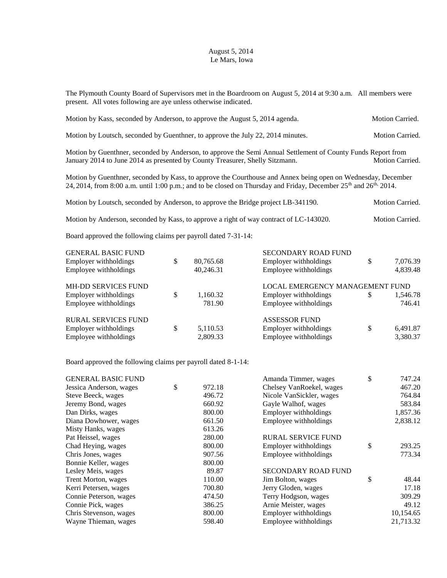## August 5, 2014 Le Mars, Iowa

The Plymouth County Board of Supervisors met in the Boardroom on August 5, 2014 at 9:30 a.m. All members were present. All votes following are aye unless otherwise indicated.

| Motion by Kass, seconded by Anderson, to approve the August 5, 2014 agenda.                                                                                                                  | Motion Carried.        |
|----------------------------------------------------------------------------------------------------------------------------------------------------------------------------------------------|------------------------|
| Motion by Loutsch, seconded by Guenthner, to approve the July 22, 2014 minutes.                                                                                                              | <b>Motion Carried.</b> |
| Motion by Guenthner, seconded by Anderson, to approve the Semi Annual Settlement of County Funds Report from<br>January 2014 to June 2014 as presented by County Treasurer, Shelly Sitzmann. | <b>Motion Carried.</b> |

Motion by Guenthner, seconded by Kass, to approve the Courthouse and Annex being open on Wednesday, December 24, 2014, from 8:00 a.m. until 1:00 p.m.; and to be closed on Thursday and Friday, December 25<sup>th</sup> and 26<sup>th,</sup> 2014.

Motion by Loutsch, seconded by Anderson, to approve the Bridge project LB-341190. Motion Carried.

Motion by Anderson, seconded by Kass, to approve a right of way contract of LC-143020. Motion Carried.

Board approved the following claims per payroll dated 7-31-14:

| <b>GENERAL BASIC FUND</b>  |   |           | <b>SECONDARY ROAD FUND</b>      |    |          |
|----------------------------|---|-----------|---------------------------------|----|----------|
| Employer withholdings      | S | 80,765.68 | Employer withholdings           | \$ | 7,076.39 |
| Employee withholdings      |   | 40,246.31 | Employee withholdings           |    | 4,839.48 |
| <b>MH-DD SERVICES FUND</b> |   |           | LOCAL EMERGENCY MANAGEMENT FUND |    |          |
| Employer withholdings      |   | 1,160.32  | Employer with holdings          | S  | 1,546.78 |
| Employee withholdings      |   | 781.90    | Employee withholdings           |    | 746.41   |
| <b>RURAL SERVICES FUND</b> |   |           | <b>ASSESSOR FUND</b>            |    |          |
| Employer withholdings      | S | 5,110.53  | Employer withholdings           | \$ | 6,491.87 |
| Employee withholdings      |   | 2,809.33  | Employee withholdings           |    | 3,380.37 |

Board approved the following claims per payroll dated 8-1-14:

|              | Amanda Timmer, wages       | \$<br>747.24 |
|--------------|----------------------------|--------------|
| \$<br>972.18 | Chelsey VanRoekel, wages   | 467.20       |
| 496.72       | Nicole VanSickler, wages   | 764.84       |
| 660.92       | Gayle Walhof, wages        | 583.84       |
| 800.00       | Employer withholdings      | 1,857.36     |
| 661.50       | Employee withholdings      | 2,838.12     |
| 613.26       |                            |              |
| 280.00       | <b>RURAL SERVICE FUND</b>  |              |
| 800.00       | Employer withholdings      | \$<br>293.25 |
| 907.56       | Employee withholdings      | 773.34       |
| 800.00       |                            |              |
| 89.87        | <b>SECONDARY ROAD FUND</b> |              |
| 110.00       | Jim Bolton, wages          | \$<br>48.44  |
| 700.80       | Jerry Gloden, wages        | 17.18        |
| 474.50       | Terry Hodgson, wages       | 309.29       |
| 386.25       | Arnie Meister, wages       | 49.12        |
| 800.00       | Employer withholdings      | 10,154.65    |
| 598.40       | Employee withholdings      | 21,713.32    |
|              |                            |              |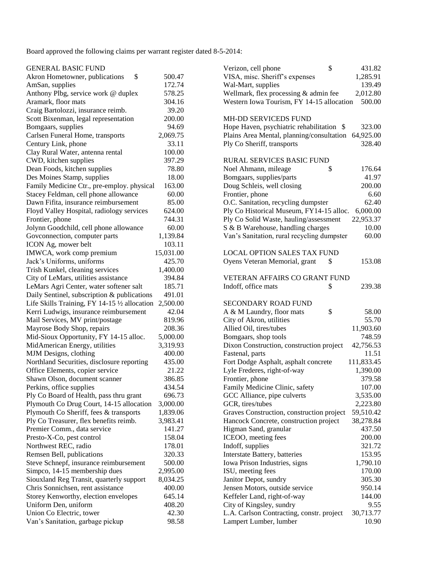Board approved the following claims per warrant register dated 8-5-2014:

| <b>GENERAL BASIC FUND</b>                     |           | \$<br>Verizon, cell phone                  | 431.82     |
|-----------------------------------------------|-----------|--------------------------------------------|------------|
| \$<br>Akron Hometowner, publications          | 500.47    | VISA, misc. Sheriff's expenses             | 1,285.91   |
| AmSan, supplies                               | 172.74    | Wal-Mart, supplies                         | 139.49     |
| Anthony Plbg, service work @ duplex           | 578.25    | Wellmark, flex processing & admin fee      | 2,012.80   |
| Aramark, floor mats                           | 304.16    | Western Iowa Tourism, FY 14-15 allocation  | 500.00     |
| Craig Bartolozzi, insurance reimb.            | 39.20     |                                            |            |
| Scott Bixenman, legal representation          | 200.00    | <b>MH-DD SERVICEDS FUND</b>                |            |
| Bomgaars, supplies                            | 94.69     | Hope Haven, psychiatric rehabilitation \$  | 323.00     |
| Carlsen Funeral Home, transports              | 2,069.75  | Plains Area Mental, planning/consultation  | 64,925.00  |
| Century Link, phone                           | 33.11     | Ply Co Sheriff, transports                 | 328.40     |
| Clay Rural Water, antenna rental              | 100.00    |                                            |            |
| CWD, kitchen supplies                         | 397.29    | <b>RURAL SERVICES BASIC FUND</b>           |            |
| Dean Foods, kitchen supplies                  | 78.80     | Noel Ahmann, mileage<br>\$                 | 176.64     |
| Des Moines Stamp, supplies                    | 18.00     | Bomgaars, supplies/parts                   | 41.97      |
| Family Medicine Ctr., pre-employ. physical    | 163.00    | Doug Schleis, well closing                 | 200.00     |
| Stacey Feldman, cell phone allowance          | 60.00     | Frontier, phone                            | 6.60       |
| Dawn Fifita, insurance reimbursement          | 85.00     | O.C. Sanitation, recycling dumpster        | 62.40      |
| Floyd Valley Hospital, radiology services     | 624.00    | Ply Co Historical Museum, FY14-15 alloc.   | 6,000.00   |
| Frontier, phone                               | 744.31    | Ply Co Solid Waste, hauling/assessment     | 22,953.37  |
| Jolynn Goodchild, cell phone allowance        | 60.00     | S & B Warehouse, handling charges          | 10.00      |
| Govconnection, computer parts                 | 1,139.84  | Van's Sanitation, rural recycling dumpster | 60.00      |
| ICON Ag, mower belt                           | 103.11    |                                            |            |
| IMWCA, work comp premium                      | 15,031.00 | <b>LOCAL OPTION SALES TAX FUND</b>         |            |
| Jack's Uniforms, uniforms                     | 425.70    | Oyens Veteran Memorial, grant<br>\$        | 153.08     |
| Trish Kunkel, cleaning services               | 1,400.00  |                                            |            |
| City of LeMars, utilities assistance          | 394.84    | VETERAN AFFAIRS CO GRANT FUND              |            |
| LeMars Agri Center, water softener salt       | 185.71    | Indoff, office mats<br>\$                  | 239.38     |
| Daily Sentinel, subscription & publications   | 491.01    |                                            |            |
| Life Skills Training, FY 14-15 1/2 allocation | 2,500.00  | <b>SECONDARY ROAD FUND</b>                 |            |
| Kerri Ludwigs, insurance reimbursement        | 42.04     | \$<br>A & M Laundry, floor mats            | 58.00      |
| Mail Services, MV print/postage               | 819.96    | City of Akron, utilities                   | 55.70      |
| Mayrose Body Shop, repairs                    | 208.36    | Allied Oil, tires/tubes                    | 11,903.60  |
| Mid-Sioux Opportunity, FY 14-15 alloc.        | 5,000.00  | Bomgaars, shop tools                       | 748.59     |
| MidAmerican Energy, utilities                 | 3,319.93  | Dixon Construction, construction project   | 42,756.53  |
| MJM Designs, clothing                         | 400.00    | Fastenal, parts                            | 11.51      |
| Northland Securities, disclosure reporting    | 435.00    | Fort Dodge Asphalt, asphalt concrete       | 111,833.45 |
| Office Elements, copier service               | 21.22     | Lyle Frederes, right-of-way                | 1,390.00   |
| Shawn Olson, document scanner                 | 386.85    | Frontier, phone                            | 379.58     |
| Perkins, office supplies                      | 434.54    | Family Medicine Clinic, safety             | 107.00     |
| Ply Co Board of Health, pass thru grant       | 696.73    | GCC Alliance, pipe culverts                | 3,535.00   |
| Plymouth Co Drug Court, 14-15 allocation      | 3,000.00  | GCR, tires/tubes                           | 2,223.80   |
| Plymouth Co Sheriff, fees & transports        | 1,839.06  | Graves Construction, construction project  | 59,510.42  |
| Ply Co Treasurer, flex benefits reimb.        | 3,983.41  | Hancock Concrete, construction project     | 38,278.84  |
| Premier Comm., data service                   | 141.27    | Higman Sand, granular                      | 437.50     |
| Presto-X-Co, pest control                     | 158.04    | ICEOO, meeting fees                        | 200.00     |
| Northwest REC, radio                          | 178.01    | Indoff, supplies                           | 321.72     |
| Remsen Bell, publications                     | 320.33    | Interstate Battery, batteries              | 153.95     |
| Steve Schnepf, insurance reimbursement        | 500.00    | Iowa Prison Industries, signs              | 1,790.10   |
| Simpco, 14-15 membership dues                 | 2,995.00  | ISU, meeting fees                          | 170.00     |
| Siouxland Reg Transit, quarterly support      | 8,034.25  | Janitor Depot, sundry                      | 305.30     |
| Chris Sonnichsen, rent assistance             | 400.00    | Jensen Motors, outside service             | 950.14     |
| Storey Kenworthy, election envelopes          | 645.14    | Keffeler Land, right-of-way                | 144.00     |
| Uniform Den, uniform                          | 408.20    | City of Kingsley, sundry                   | 9.55       |
| Union Co Electric, tower                      | 42.30     | L.A. Carlson Contracting, constr. project  | 30,713.77  |
| Van's Sanitation, garbage pickup              | 98.58     | Lampert Lumber, lumber                     | 10.90      |
|                                               |           |                                            |            |

| Verizon, cell phone                                                 | \$   | 431.82                |
|---------------------------------------------------------------------|------|-----------------------|
| VISA, misc. Sheriff's expenses                                      |      | 1,285.91              |
| Wal-Mart, supplies                                                  |      | 139.49                |
| Wellmark, flex processing & admin fee                               |      | 2,012.80              |
| Western Iowa Tourism, FY 14-15 allocation                           |      | 500.00                |
|                                                                     |      |                       |
| <b>MH-DD SERVICEDS FUND</b>                                         |      |                       |
| Hope Haven, psychiatric rehabilitation                              | - \$ | 323.00                |
| Plains Area Mental, planning/consultation                           |      | 64,925.00             |
| Ply Co Sheriff, transports                                          |      | 328.40                |
|                                                                     |      |                       |
| <b>RURAL SERVICES BASIC FUND</b>                                    |      |                       |
| Noel Ahmann, mileage                                                | \$   | 176.64                |
| Bomgaars, supplies/parts                                            |      | 41.97                 |
| Doug Schleis, well closing                                          |      | 200.00                |
| Frontier, phone                                                     |      | 6.60                  |
| O.C. Sanitation, recycling dumpster                                 |      | 62.40                 |
| Ply Co Historical Museum, FY14-15 alloc.                            |      | 6,000.00              |
| Ply Co Solid Waste, hauling/assessment                              |      | 22,953.37             |
|                                                                     |      | 10.00                 |
| S & B Warehouse, handling charges                                   |      |                       |
| Van's Sanitation, rural recycling dumpster                          |      | 60.00                 |
| <b>LOCAL OPTION SALES TAX FUND</b>                                  |      |                       |
| Oyens Veteran Memorial, grant                                       | \$   | 153.08                |
|                                                                     |      |                       |
| VETERAN AFFAIRS CO GRANT FUND                                       |      |                       |
| Indoff, office mats                                                 | \$   | 239.38                |
|                                                                     |      |                       |
| <b>SECONDARY ROAD FUND</b>                                          |      |                       |
| A & M Laundry, floor mats                                           | \$   | 58.00                 |
| City of Akron, utilities                                            |      | 55.70                 |
| Allied Oil, tires/tubes                                             |      | 11,903.60             |
| Bomgaars, shop tools                                                |      | 748.59                |
| Dixon Construction, construction project                            |      | 42,756.53             |
| Fastenal, parts                                                     |      | 11.51                 |
| Fort Dodge Asphalt, asphalt concrete                                |      | 111,833.45            |
| Lyle Frederes, right-of-way                                         |      | 1,390.00              |
| Frontier, phone                                                     |      | 379.58                |
| Family Medicine Clinic, safety                                      |      | 107.00                |
| GCC Alliance, pipe culverts                                         |      | 3,535.00              |
| GCR, tires/tubes                                                    |      |                       |
|                                                                     |      | 2,223.80<br>59,510.42 |
| Graves Construction, construction project                           |      |                       |
| Hancock Concrete, construction project                              |      | 38,278.84             |
| Higman Sand, granular                                               |      | 437.50                |
| ICEOO, meeting fees                                                 |      | 200.00                |
| Indoff, supplies                                                    |      | 321.72                |
| Interstate Battery, batteries                                       |      | 153.95                |
| Iowa Prison Industries, signs                                       |      | 1,790.10              |
| ISU, meeting fees                                                   |      | 170.00                |
| Janitor Depot, sundry                                               |      | 305.30                |
| Jensen Motors, outside service                                      |      | 950.14                |
| Keffeler Land, right-of-way                                         |      | 144.00                |
| City of Kingsley, sundry                                            |      |                       |
|                                                                     |      | 9.55                  |
| L.A. Carlson Contracting, constr. project<br>Lampert Lumber, lumber |      | 30,713.77<br>10.90    |